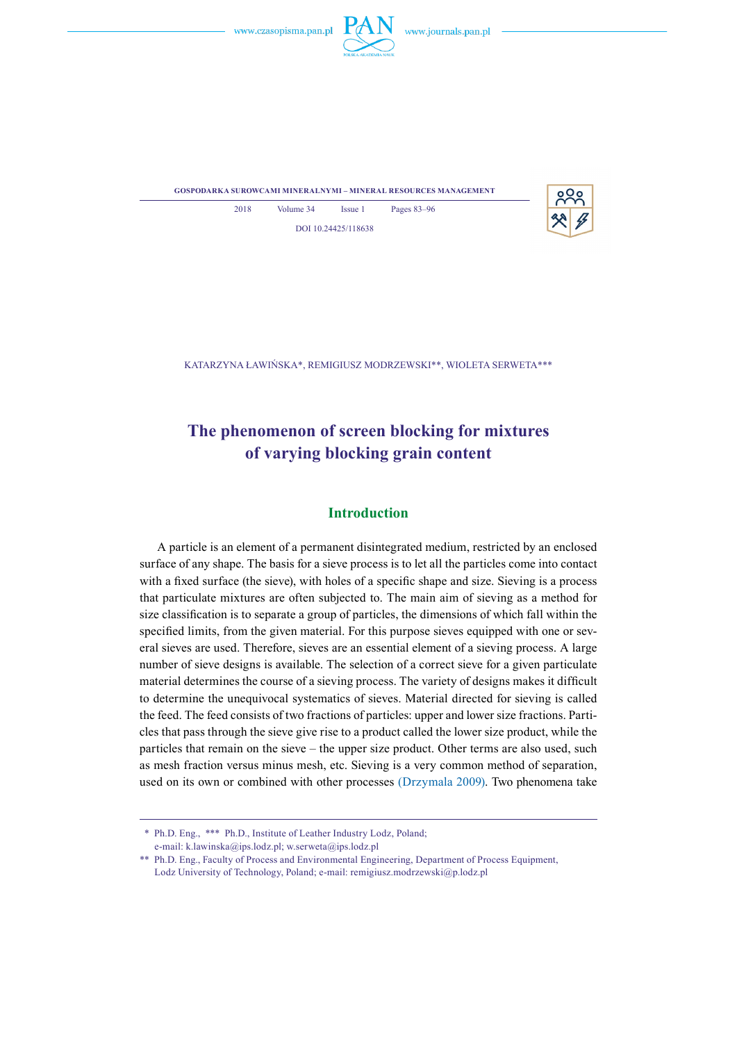



**gospodarka surowcami mineralnymi – mineral resources management**

2018 Volume 34 Issue 1 Pages 83–96 DOI 10.24425/118638

Katarzyna Ławińska\*, Remigiusz Modrzewski\*\*, Wioleta Serweta\*\*\*

# **The phenomenon of screen blocking for mixtures of varying blocking grain content**

# **Introduction**

A particle is an element of a permanent disintegrated medium, restricted by an enclosed surface of any shape. The basis for a sieve process is to let all the particles come into contact with a fixed surface (the sieve), with holes of a specific shape and size. Sieving is a process that particulate mixtures are often subjected to. The main aim of sieving as a method for size classification is to separate a group of particles, the dimensions of which fall within the specified limits, from the given material. For this purpose sieves equipped with one or several sieves are used. Therefore, sieves are an essential element of a sieving process. A large number of sieve designs is available. The selection of a correct sieve for a given particulate material determines the course of a sieving process. The variety of designs makes it difficult to determine the unequivocal systematics of sieves. Material directed for sieving is called the feed. The feed consists of two fractions of particles: upper and lower size fractions. Particles that pass through the sieve give rise to a product called the lower size product, while the particles that remain on the sieve – the upper size product. Other terms are also used, such as mesh fraction versus minus mesh, etc. Sieving is a very common method of separation, used on its own or combined with other processes (Drzymala 2009). Two phenomena take

<sup>\*\*</sup> Ph.D. Eng., \*\*\* Ph.D., Institute of Leather Industry Lodz, Poland; e-mail: [k.lawinska@ips.lodz.pl](mailto:k.lawinska@ips.lodz.pl?Subject=GSM-00006-2017-02); [w.serweta@ips.lodz.pl](mailto:w.serweta@ips.lodz.pl)

<sup>\*\*</sup> Ph.D. Eng., Faculty of Process and Environmental Engineering, Department of Process Equipment, Lodz University of Technology, Poland; e-mail: [remigiusz.modrzewski@p.lodz.pl](mailto:remigiusz.modrzewski@p.lodz.pl)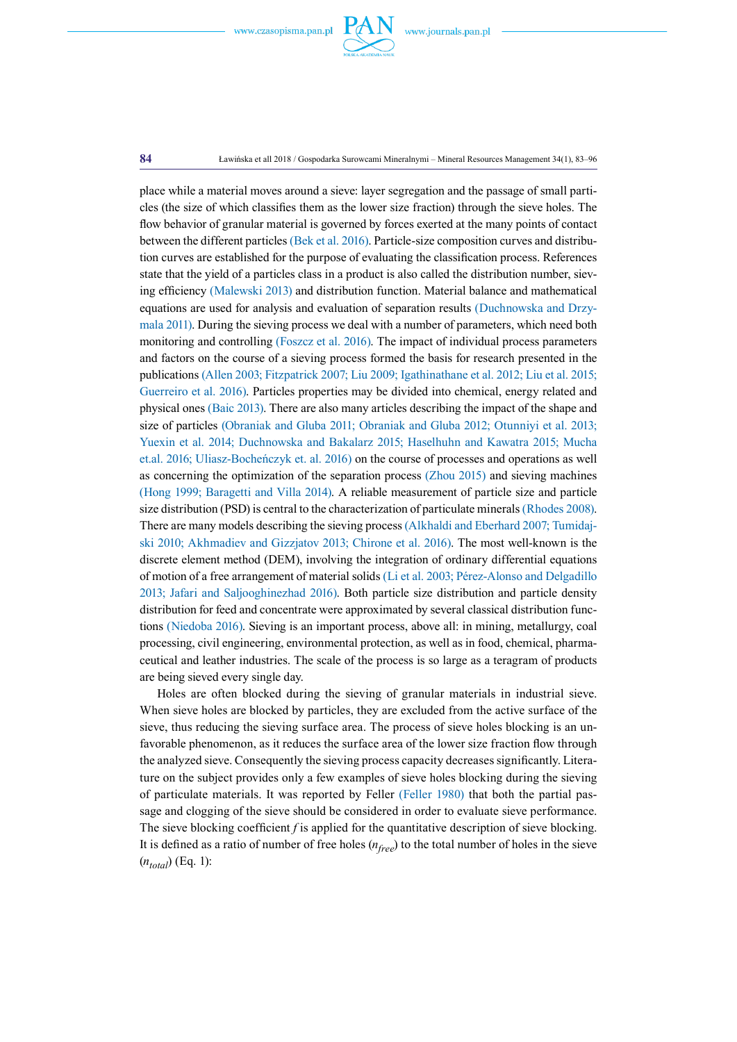

place while a material moves around a sieve: layer segregation and the passage of small particles (the size of which classifies them as the lower size fraction) through the sieve holes. The flow behavior of granular material is governed by forces exerted at the many points of contact between the different particles (Bek et al. 2016). Particle-size composition curves and distribution curves are established for the purpose of evaluating the classification process. References state that the yield of a particles class in a product is also called the distribution number, sieving efficiency (Malewski 2013) and distribution function. Material balance and mathematical equations are used for analysis and evaluation of separation results (Duchnowska and Drzymala 2011). During the sieving process we deal with a number of parameters, which need both monitoring and controlling (Foszcz et al. 2016). The impact of individual process parameters and factors on the course of a sieving process formed the basis for research presented in the publications (Allen 2003; Fitzpatrick 2007; Liu 2009; Igathinathane et al. 2012; Liu et al. 2015; Guerreiro et al. 2016). Particles properties may be divided into chemical, energy related and physical ones (Baic 2013). There are also many articles describing the impact of the shape and size of particles (Obraniak and Gluba 2011; Obraniak and Gluba 2012; Otunniyi et al. 2013; Yuexin et al. 2014; Duchnowska and Bakalarz 2015; Haselhuhn and Kawatra 2015; Mucha et.al. 2016; Uliasz-Bocheńczyk et. al. 2016) on the course of processes and operations as well as concerning the optimization of the separation process (Zhou 2015) and sieving machines (Hong 1999; Baragetti and Villa 2014). A reliable measurement of particle size and particle size distribution (PSD) is central to the characterization of particulate minerals (Rhodes 2008). There are many models describing the sieving process (Alkhaldi and Eberhard 2007; Tumidajski 2010; Akhmadiev and Gizzjatov 2013; Chirone et al. 2016). The most well-known is the discrete element method (DEM), involving the integration of ordinary differential equations of motion of a free arrangement of material solids (Li et al. 2003; Pérez-Alonso and Delgadillo 2013; Jafari and Saljooghinezhad 2016). Both particle size distribution and particle density distribution for feed and concentrate were approximated by several classical distribution functions (Niedoba 2016). Sieving is an important process, above all: in mining, metallurgy, coal processing, civil engineering, environmental protection, as well as in food, chemical, pharmaceutical and leather industries. The scale of the process is so large as a teragram of products are being sieved every single day.

Holes are often blocked during the sieving of granular materials in industrial sieve. When sieve holes are blocked by particles, they are excluded from the active surface of the sieve, thus reducing the sieving surface area. The process of sieve holes blocking is an unfavorable phenomenon, as it reduces the surface area of the lower size fraction flow through the analyzed sieve. Consequently the sieving process capacity decreases significantly. Literature on the subject provides only a few examples of sieve holes blocking during the sieving of particulate materials. It was reported by Feller (Feller 1980) that both the partial passage and clogging of the sieve should be considered in order to evaluate sieve performance. The sieve blocking coefficient *f* is applied for the quantitative description of sieve blocking. It is defined as a ratio of number of free holes (*nfree*) to the total number of holes in the sieve  $(n_{total})$  (Eq. 1):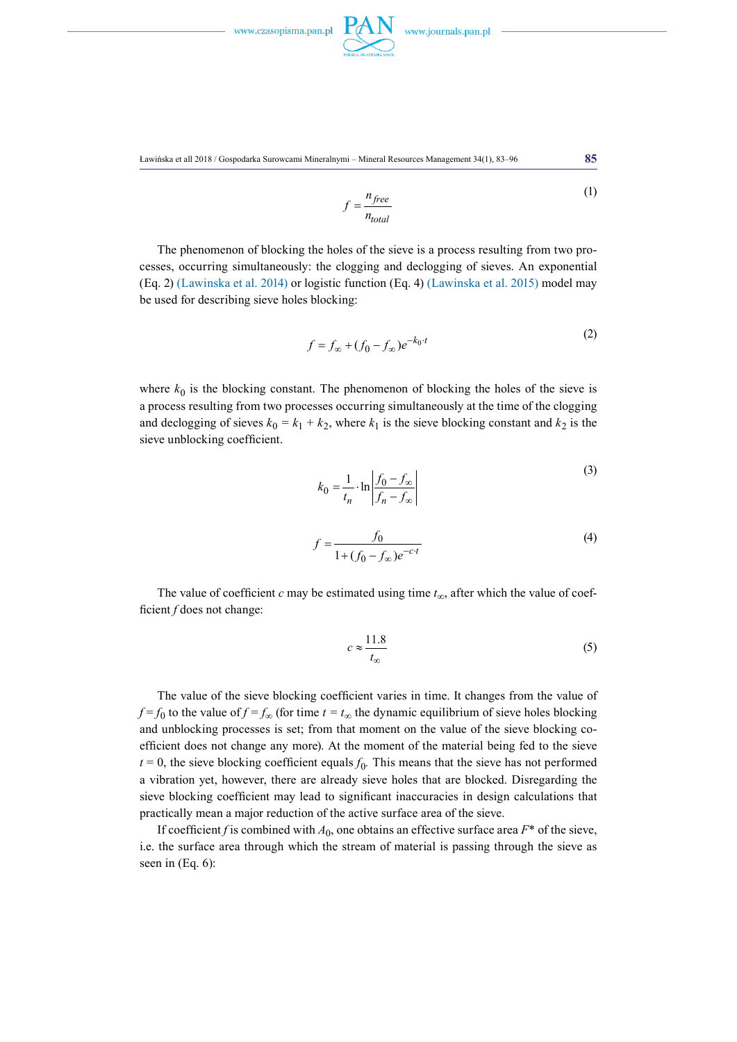

Ławińska et all 2018 / Gospodarka Surowcami Mineralnymi – Mineral Resources Management 34(1), 83–96 **85**

$$
f = \frac{n_{free}}{n_{total}}
$$
 (1)

The phenomenon of blocking the holes of the sieve is a process resulting from two processes, occurring simultaneously: the clogging and declogging of sieves. An exponential (Eq. 2) (Lawinska et al. 2014) or logistic function (Eq. 4) (Lawinska et al. 2015) model may be used for describing sieve holes blocking:

$$
f = f_{\infty} + (f_0 - f_{\infty})e^{-k_0 \cdot t}
$$
 (2)

where  $k_0$  is the blocking constant. The phenomenon of blocking the holes of the sieve is a process resulting from two processes occurring simultaneously at the time of the clogging and declogging of sieves  $k_0 = k_1 + k_2$ , where  $k_1$  is the sieve blocking constant and  $k_2$  is the sieve unblocking coefficient.

$$
k_0 = \frac{1}{t_n} \cdot \ln \left| \frac{f_0 - f_\infty}{f_n - f_\infty} \right| \tag{3}
$$

$$
f = \frac{f_0}{1 + (f_0 - f_\infty)e^{-c \cdot t}}
$$
(4)

The value of coefficient *c* may be estimated using time *t∞*, after which the value of coefficient *f* does not change:

$$
c \approx \frac{11.8}{t_{\infty}} \tag{5}
$$

The value of the sieve blocking coefficient varies in time. It changes from the value of  $f = f_0$  to the value of  $f = f_\infty$  (for time  $t = t_\infty$  the dynamic equilibrium of sieve holes blocking and unblocking processes is set; from that moment on the value of the sieve blocking coefficient does not change any more). At the moment of the material being fed to the sieve  $t = 0$ , the sieve blocking coefficient equals  $f_0$ . This means that the sieve has not performed a vibration yet, however, there are already sieve holes that are blocked. Disregarding the sieve blocking coefficient may lead to significant inaccuracies in design calculations that practically mean a major reduction of the active surface area of the sieve.

If coefficient *f* is combined with  $A_0$ , one obtains an effective surface area  $F^*$  of the sieve, i.e. the surface area through which the stream of material is passing through the sieve as seen in (Eq. 6):

 $(2)$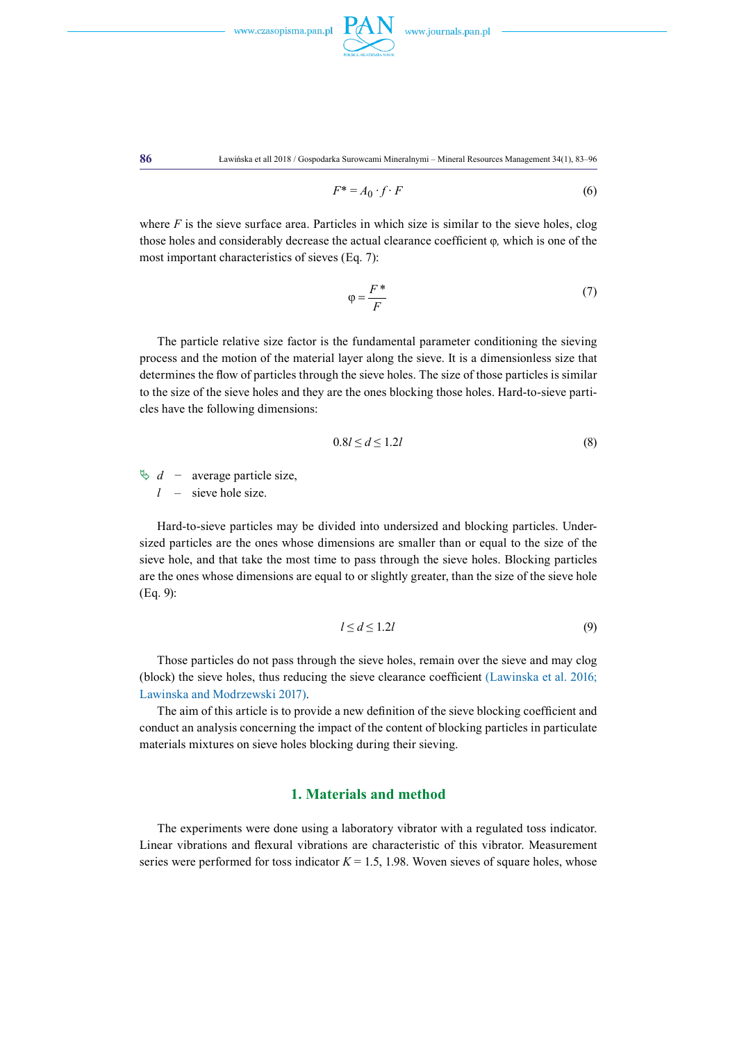



**86** Ławińska et all 2018 / Gospodarka Surowcami Mineralnymi – Mineral Resources Management 34(1), 83–96

$$
F^* = A_0 \cdot f \cdot F \tag{6}
$$

where  $F$  is the sieve surface area. Particles in which size is similar to the sieve holes, clog those holes and considerably decrease the actual clearance coefficient φ*,* which is one of the most important characteristics of sieves (Eq. 7):

$$
\varphi = \frac{F^*}{F} \tag{7}
$$

The particle relative size factor is the fundamental parameter conditioning the sieving process and the motion of the material layer along the sieve. It is a dimensionless size that determines the flow of particles through the sieve holes. The size of those particles is similar to the size of the sieve holes and they are the ones blocking those holes. Hard-to-sieve particles have the following dimensions:

$$
0.8l \le d \le 1.2l \tag{8}
$$

 $\&$  *d* − average particle size,

*l* – sieve hole size.

Hard-to-sieve particles may be divided into undersized and blocking particles. Undersized particles are the ones whose dimensions are smaller than or equal to the size of the sieve hole, and that take the most time to pass through the sieve holes. Blocking particles are the ones whose dimensions are equal to or slightly greater, than the size of the sieve hole (Eq. 9):

$$
l \le d \le 1.2l \tag{9}
$$

Those particles do not pass through the sieve holes, remain over the sieve and may clog (block) the sieve holes, thus reducing the sieve clearance coefficient (Lawinska et al. 2016; Lawinska and Modrzewski 2017).

The aim of this article is to provide a new definition of the sieve blocking coefficient and conduct an analysis concerning the impact of the content of blocking particles in particulate materials mixtures on sieve holes blocking during their sieving.

### **1. Materials and method**

The experiments were done using a laboratory vibrator with a regulated toss indicator. Linear vibrations and flexural vibrations are characteristic of this vibrator. Measurement series were performed for toss indicator  $K = 1.5$ , 1.98. Woven sieves of square holes, whose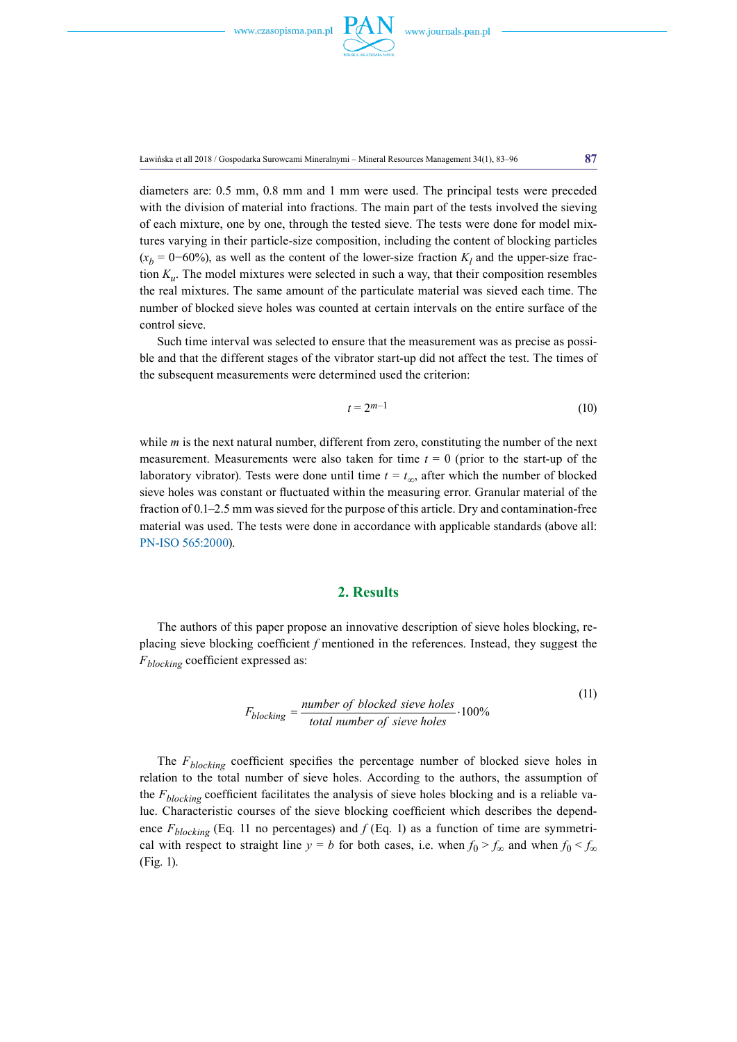

Ławińska et all 2018 / Gospodarka Surowcami Mineralnymi – Mineral Resources Management 34(1), 83–96 **87**

diameters are: 0.5 mm, 0.8 mm and 1 mm were used. The principal tests were preceded with the division of material into fractions. The main part of the tests involved the sieving of each mixture, one by one, through the tested sieve. The tests were done for model mixtures varying in their particle-size composition, including the content of blocking particles  $(x_b = 0-60\%)$ , as well as the content of the lower-size fraction  $K_l$  and the upper-size fraction  $K<sub>u</sub>$ . The model mixtures were selected in such a way, that their composition resembles the real mixtures. The same amount of the particulate material was sieved each time. The number of blocked sieve holes was counted at certain intervals on the entire surface of the control sieve.

Such time interval was selected to ensure that the measurement was as precise as possible and that the different stages of the vibrator start-up did not affect the test. The times of the subsequent measurements were determined used the criterion:

$$
t = 2^{m-1} \tag{10}
$$

while *m* is the next natural number, different from zero, constituting the number of the next measurement. Measurements were also taken for time  $t = 0$  (prior to the start-up of the laboratory vibrator). Tests were done until time  $t = t_{\infty}$ , after which the number of blocked sieve holes was constant or fluctuated within the measuring error. Granular material of the fraction of 0.1–2.5 mm was sieved for the purpose of this article. Dry and contamination-free material was used. The tests were done in accordance with applicable standards (above all: PN-ISO 565:2000).

# **2. Results**

The authors of this paper propose an innovative description of sieve holes blocking, replacing sieve blocking coefficient *f* mentioned in the references. Instead, they suggest the *Fblocking* coefficient expressed as:

$$
F_{blocking} = \frac{number\ of\ blocked\ sieve\ holes}{total\ number\ of\ sieve\ holes} \cdot 100\%
$$
 (11)

The  $F_{blocking}$  coefficient specifies the percentage number of blocked sieve holes in relation to the total number of sieve holes. According to the authors, the assumption of the *Fblocking* coefficient facilitates the analysis of sieve holes blocking and is a reliable value. Characteristic courses of the sieve blocking coefficient which describes the dependence  $F_{blocking}$  (Eq. 11 no percentages) and  $f$  (Eq. 1) as a function of time are symmetrical with respect to straight line  $y = b$  for both cases, i.e. when  $f_0 > f_\infty$  and when  $f_0 < f_\infty$ (Fig. 1).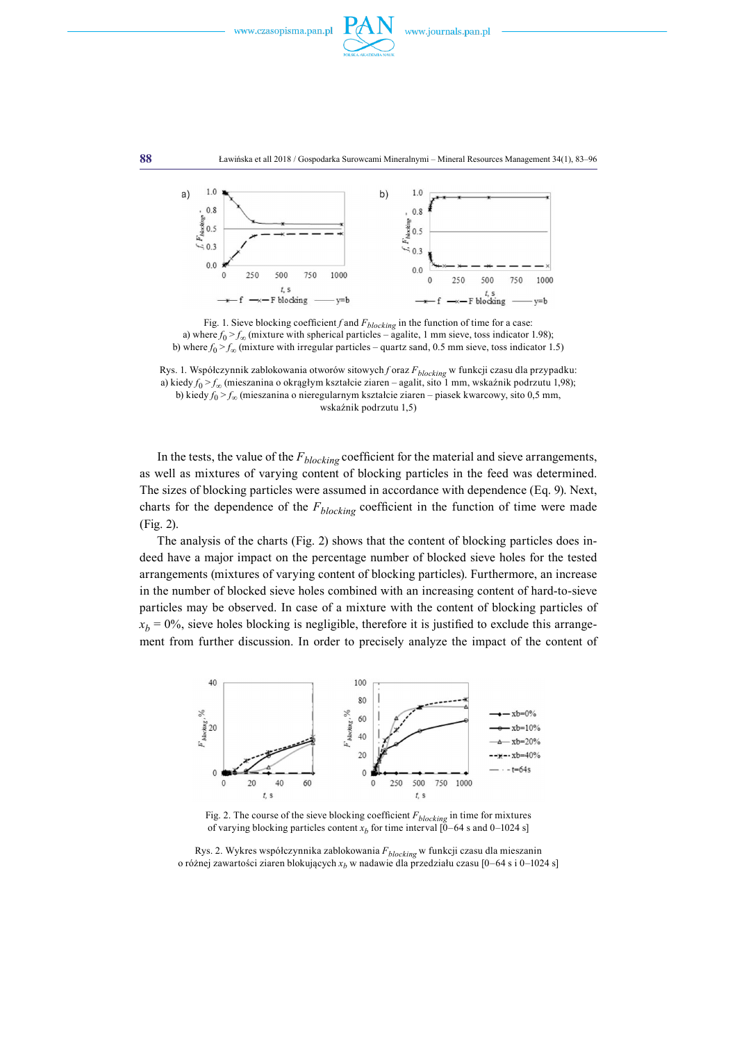





Fig. 1. Sieve blocking coefficient  $f$  and  $F_{blocking}$  in the function of time for a case: a) where  $f_0 > f_\infty$  (mixture with spherical particles – agalite, 1 mm sieve, toss indicator 1.98); b) where  $f_0 > f_\infty$  (mixture with irregular particles – quartz sand, 0.5 mm sieve, toss indicator 1.5)

Rys. 1. Współczynnik zablokowania otworów sitowych *f* oraz *Fblocking* w funkcji czasu dla przypadku: a) kiedy *f*0 > *f∞* (mieszanina o okrągłym kształcie ziaren – agalit, sito 1 mm, wskaźnik podrzutu 1,98); b) kiedy *f*0 > *f∞* (mieszanina o nieregularnym kształcie ziaren – piasek kwarcowy, sito 0,5 mm, wskaźnik podrzutu 1,5)

In the tests, the value of the *Fblocking* coefficient for the material and sieve arrangements, as well as mixtures of varying content of blocking particles in the feed was determined. The sizes of blocking particles were assumed in accordance with dependence (Eq. 9). Next, charts for the dependence of the  $F_{blocking}$  coefficient in the function of time were made (Fig. 2).

The analysis of the charts (Fig. 2) shows that the content of blocking particles does indeed have a major impact on the percentage number of blocked sieve holes for the tested arrangements (mixtures of varying content of blocking particles). Furthermore, an increase in the number of blocked sieve holes combined with an increasing content of hard-to-sieve particles may be observed. In case of a mixture with the content of blocking particles of  $x_b = 0\%$ , sieve holes blocking is negligible, therefore it is justified to exclude this arrangement from further discussion. In order to precisely analyze the impact of the content of



Fig. 2. The course of the sieve blocking coefficient *Fblocking* in time for mixtures of varying blocking particles content  $x_b$  for time interval  $[0-64 \text{ s}$  and  $0-1024 \text{ s}]$ 

Rys. 2. Wykres współczynnika zablokowania *Fblocking* w funkcji czasu dla mieszanin o różnej zawartości ziaren blokujących *xb* w nadawie dla przedziału czasu [0–64 s i 0–1024 s]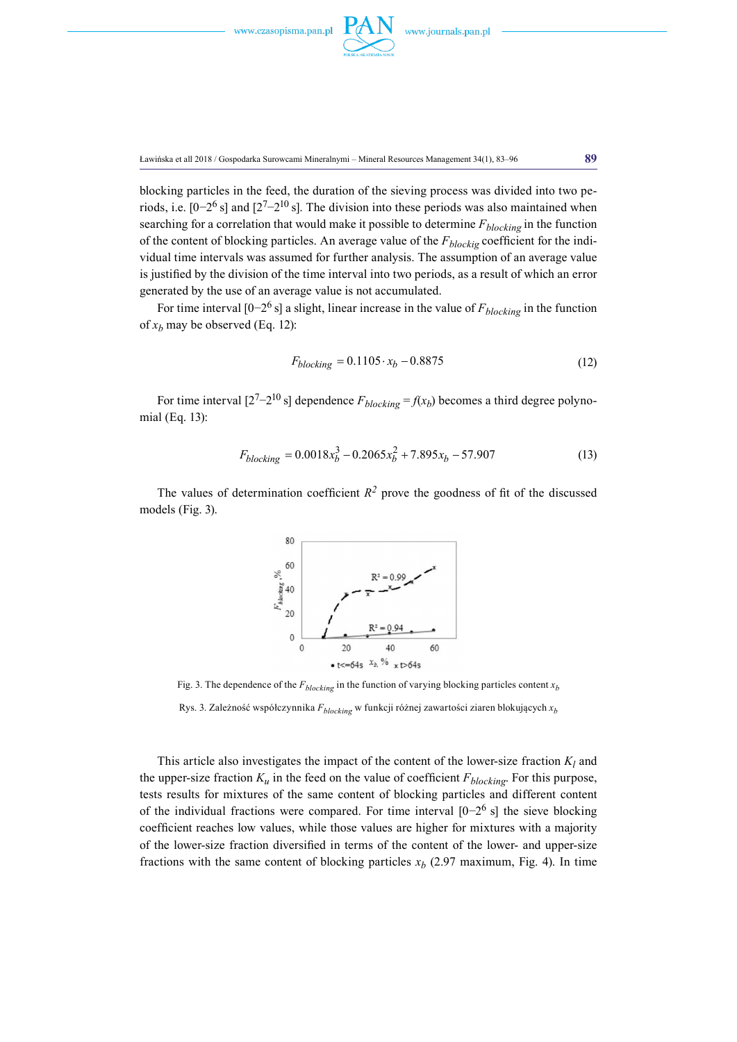

Ławińska et all 2018 / Gospodarka Surowcami Mineralnymi – Mineral Resources Management 34(1), 83–96 **89**

blocking particles in the feed, the duration of the sieving process was divided into two periods, i.e.  $[0-2^6 s]$  and  $[2^7-2^{10} s]$ . The division into these periods was also maintained when searching for a correlation that would make it possible to determine  $F_{blocking}$  in the function of the content of blocking particles. An average value of the *Fblockig* coefficient for the individual time intervals was assumed for further analysis. The assumption of an average value is justified by the division of the time interval into two periods, as a result of which an error generated by the use of an average value is not accumulated.

For time interval  $[0-2^6$  s] a slight, linear increase in the value of  $F_{blocking}$  in the function of  $x_h$  may be observed (Eq. 12):

$$
F_{blocking} = 0.1105 \cdot x_b - 0.8875 \tag{12}
$$

For time interval  $[2^7-2^{10} \text{ s}]$  dependence  $F_{blocking} = f(x_b)$  becomes a third degree polynomial (Eq. 13):

$$
F_{blocking} = 0.0018x_b^3 - 0.2065x_b^2 + 7.895x_b - 57.907
$$
\n(13)

The values of determination coefficient  $R^2$  prove the goodness of fit of the discussed models (Fig. 3).



Fig. 3. The dependence of the  $F_{blocking}$  in the function of varying blocking particles content  $x_b$ 

Rys. 3. Zależność współczynnika *Fblocking* w funkcji różnej zawartości ziaren blokujących *xb*

This article also investigates the impact of the content of the lower-size fraction  $K_l$  and the upper-size fraction  $K_u$  in the feed on the value of coefficient  $F_{blocking}$ . For this purpose, tests results for mixtures of the same content of blocking particles and different content of the individual fractions were compared. For time interval  $[0-2^6 s]$  the sieve blocking coefficient reaches low values, while those values are higher for mixtures with a majority of the lower-size fraction diversified in terms of the content of the lower- and upper-size fractions with the same content of blocking particles  $x<sub>b</sub>$  (2.97 maximum, Fig. 4). In time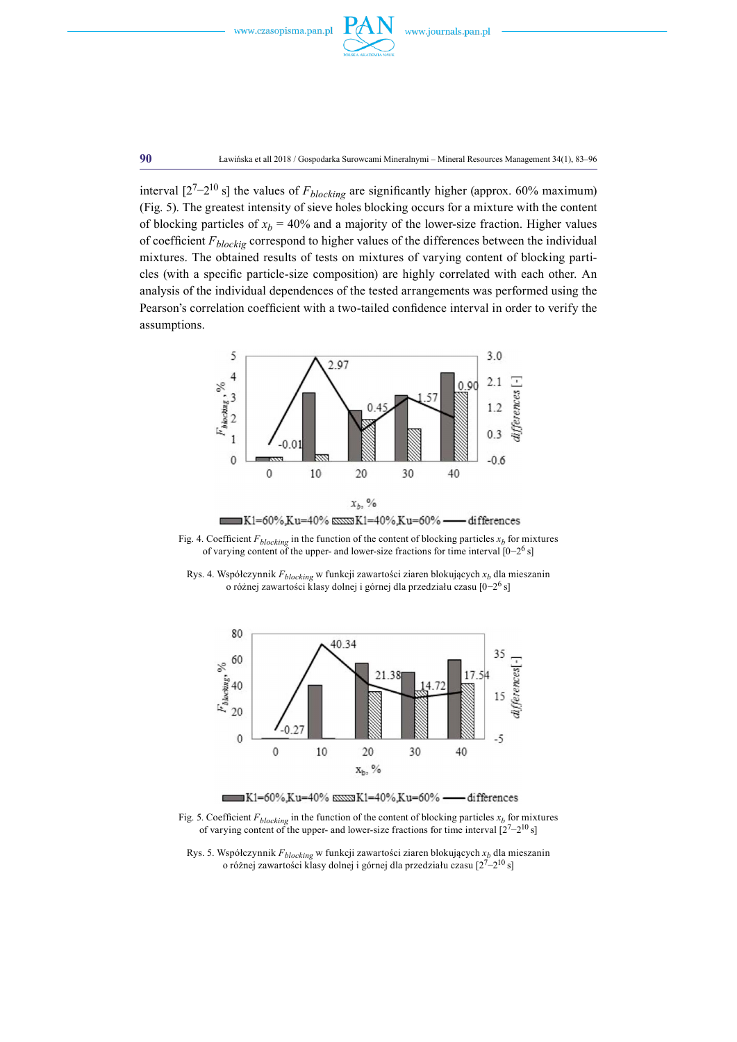



**90** Ławińska et all 2018 / Gospodarka Surowcami Mineralnymi – Mineral Resources Management 34(1), 83–96

interval [27−210 s] the values of *Fblocking* are significantly higher (approx. 60% maximum) (Fig. 5). The greatest intensity of sieve holes blocking occurs for a mixture with the content of blocking particles of  $x_b = 40\%$  and a majority of the lower-size fraction. Higher values of coefficient *Fblockig* correspond to higher values of the differences between the individual mixtures. The obtained results of tests on mixtures of varying content of blocking particles (with a specific particle-size composition) are highly correlated with each other. An analysis of the individual dependences of the tested arrangements was performed using the Pearson's correlation coefficient with a two-tailed confidence interval in order to verify the assumptions.



K1=60%,Ku=40% SSSSS K1=40%,Ku=60% -- differences

Fig. 4. Coefficient  $F_{blocking}$  in the function of the content of blocking particles  $x_b$  for mixtures of varying content of the upper- and lower-size fractions for time interval [0−26 s]

Rys. 4. Współczynnik *Fblocking* w funkcji zawartości ziaren blokujących *xb* dla mieszanin o różnej zawartości klasy dolnej i górnej dla przedziału czasu [0−26 s]



K1=60%,Ku=40% SSSSSK1=40%,Ku=60% -- differences

Fig. 5. Coefficient  $F_{blocking}$  in the function of the content of blocking particles  $x_b$  for mixtures of varying content of the upper- and lower-size fractions for time interval  $[2<sup>7</sup>-2<sup>10</sup> s]$ 

Rys. 5. Współczynnik *Fblocking* w funkcji zawartości ziaren blokujących *xb* dla mieszanin o różnej zawartości klasy dolnej i górnej dla przedziału czasu [27−210 s]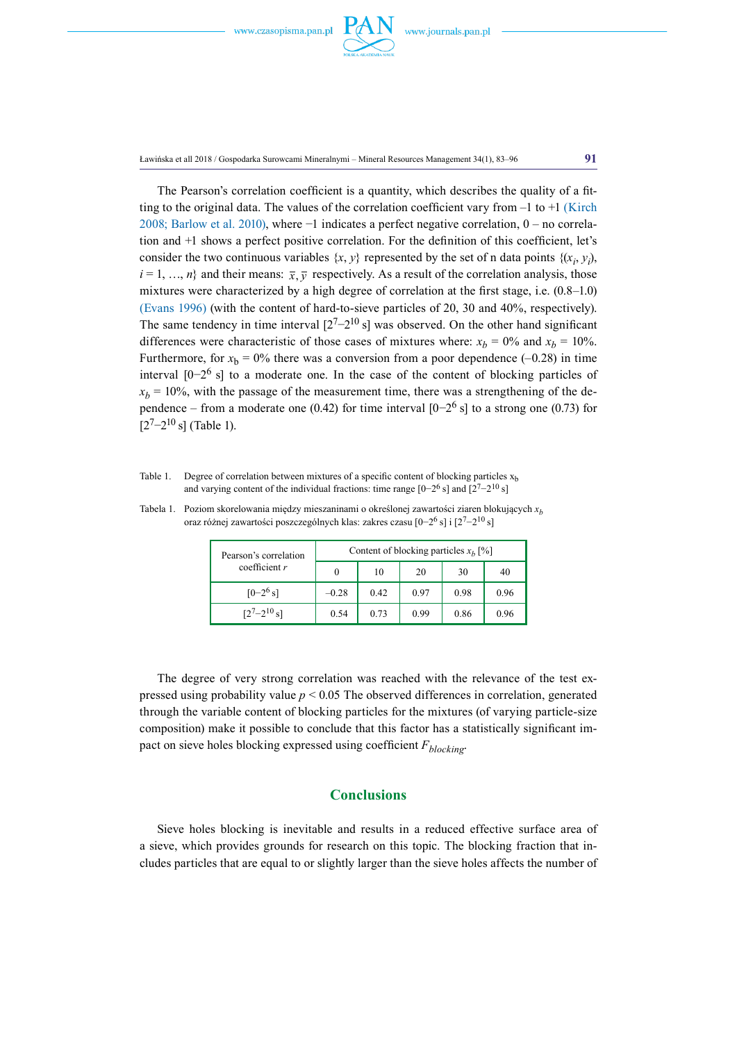

Ławińska et all 2018 / Gospodarka Surowcami Mineralnymi – Mineral Resources Management 34(1), 83–96 **91**

The Pearson's correlation coefficient is a quantity, which describes the quality of a fitting to the original data. The values of the correlation coefficient vary from  $-1$  to  $+1$  (Kirch 2008; Barlow et al. 2010), where −1 indicates a perfect negative correlation, 0 – no correlation and +1 shows a perfect positive correlation. For the definition of this coefficient, let's consider the two continuous variables  $\{x, y\}$  represented by the set of n data points  $\{(x_i, y_i)\}$  $i = 1, ..., n$  and their means:  $\bar{x}, \bar{y}$  respectively. As a result of the correlation analysis, those mixtures were characterized by a high degree of correlation at the first stage, i.e. (0.8–1.0) (Evans 1996) (with the content of hard-to-sieve particles of 20, 30 and 40%, respectively). The same tendency in time interval  $[2<sup>7</sup>-2<sup>10</sup>$  s] was observed. On the other hand significant differences were characteristic of those cases of mixtures where:  $x_b = 0\%$  and  $x_b = 10\%$ . Furthermore, for  $x<sub>b</sub> = 0$ % there was a conversion from a poor dependence (-0.28) in time interval  $[0-2^6$  s] to a moderate one. In the case of the content of blocking particles of  $x_b = 10\%$ , with the passage of the measurement time, there was a strengthening of the dependence – from a moderate one (0.42) for time interval  $[0-2^6$  s] to a strong one (0.73) for  $[2<sup>7</sup>-2<sup>10</sup>$  s] (Table 1).

Table 1. Degree of correlation between mixtures of a specific content of blocking particles  $x<sub>b</sub>$ and varying content of the individual fractions: time range  $[0-2^6$  s] and  $[2^7-2^{10}$  s]

| Pearson's correlation<br>coefficient $r$ | Content of blocking particles $x_h$ [%] |      |      |      |      |
|------------------------------------------|-----------------------------------------|------|------|------|------|
|                                          | $\Omega$                                | 10   | 20   | 30   | 40   |
| $[0-2^6 s]$                              | $-0.28$                                 | 0.42 | 0.97 | 0.98 | 0.96 |
| $\lceil 2^{7} - 2^{10} \rceil$           | 0.54                                    | 0.73 | 0.99 | 0.86 | 0.96 |

Tabela 1. Poziom skorelowania między mieszaninami o określonej zawartości ziaren blokujących *xb* oraz różnej zawartości poszczególnych klas: zakres czasu [0−26 s] i [27−210 s]

The degree of very strong correlation was reached with the relevance of the test expressed using probability value  $p < 0.05$  The observed differences in correlation, generated through the variable content of blocking particles for the mixtures (of varying particle-size composition) make it possible to conclude that this factor has a statistically significant impact on sieve holes blocking expressed using coefficient *F<sub>blocking</sub>*.

### **Conclusions**

Sieve holes blocking is inevitable and results in a reduced effective surface area of a sieve, which provides grounds for research on this topic. The blocking fraction that includes particles that are equal to or slightly larger than the sieve holes affects the number of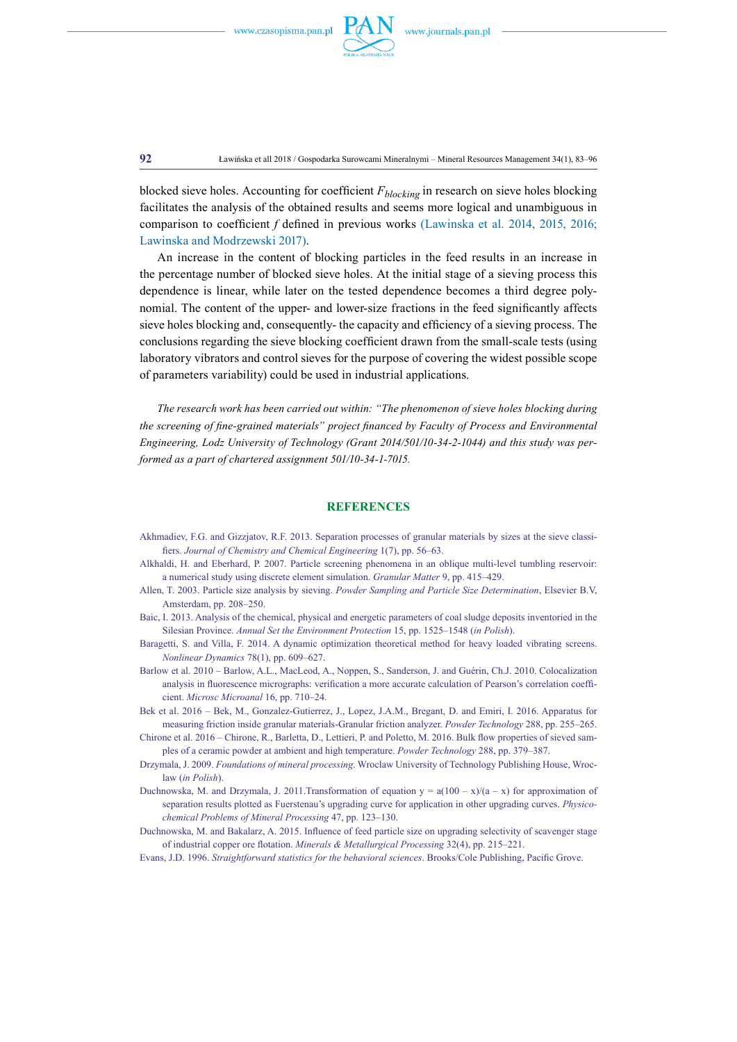

**92** Ławińska et all 2018 / Gospodarka Surowcami Mineralnymi – Mineral Resources Management 34(1), 83–96

blocked sieve holes. Accounting for coefficient *Fblocking* in research on sieve holes blocking facilitates the analysis of the obtained results and seems more logical and unambiguous in comparison to coefficient *f* defined in previous works (Lawinska et al. 2014, 2015, 2016; Lawinska and Modrzewski 2017).

An increase in the content of blocking particles in the feed results in an increase in the percentage number of blocked sieve holes. At the initial stage of a sieving process this dependence is linear, while later on the tested dependence becomes a third degree polynomial. The content of the upper- and lower-size fractions in the feed significantly affects sieve holes blocking and, consequently- the capacity and efficiency of a sieving process. The conclusions regarding the sieve blocking coefficient drawn from the small-scale tests (using laboratory vibrators and control sieves for the purpose of covering the widest possible scope of parameters variability) could be used in industrial applications.

*The research work has been carried out within: "The phenomenon of sieve holes blocking during the screening of fine-grained materials" project financed by Faculty of Process and Environmental Engineering, Lodz University of Technology (Grant 2014/501/10-34-2-1044) and this study was performed as a part of chartered assignment 501/10-34-1-7015.*

#### **References**

- Akhmadiev, F.G. and Gizzjatov, R.F. 2013. Separation processes of granular materials by sizes at the sieve classifiers. *Journal of Chemistry and Chemical Engineering* 1(7), pp. 56–63.
- Alkhaldi, H. and Eberhard, P. 2007. Particle screening phenomena in an oblique multi-level tumbling reservoir: a numerical study using discrete element simulation. *Granular Matter* 9, pp. 415–429.
- Allen, T. 2003. Particle size analysis by sieving. *Powder Sampling and Particle Size Determination*, Elsevier B.V, Amsterdam, pp. 208–250.
- Baic, I. 2013. Analysis of the chemical, physical and energetic parameters of coal sludge deposits inventoried in the Silesian Province. *Annual Set the Environment Protection* 15, pp. 1525–1548 (*in Polish*).
- Baragetti, S. and Villa, F. 2014. A dynamic optimization theoretical method for heavy loaded vibrating screens. *Nonlinear Dynamics* 78(1), pp. 609–627.
- Barlow et al. 2010 Barlow, A.L., MacLeod, A., Noppen, S., Sanderson, J. and Guérin, Ch.J. 2010. Colocalization analysis in fluorescence micrographs: verification a more accurate calculation of Pearson's correlation coefficient. *[Microsc Microanal](https://www.ncbi.nlm.nih.gov/pubmed/20946701)* 16, pp. 710–24.
- Bek et al. 2016 Bek, M., Gonzalez-Gutierrez, J., Lopez, J.A.M., Bregant, D. and Emiri, I. 2016. Apparatus for measuring friction inside granular materials-Granular friction analyzer. *Powder Technology* 288, pp. 255–265.
- Chirone et al. 2016 Chirone, R., Barletta, D., Lettieri, P. and Poletto, M. 2016. Bulk flow properties of sieved samples of a ceramic powder at ambient and high temperature. *Powder Technology* 288, pp. 379–387.
- Drzymala, J. 2009. *Foundations of mineral processing*. Wroclaw University of Technology Publishing House, Wroclaw (*in Polish*).
- Duchnowska, M. and Drzymala, J. 2011.Transformation of equation  $y = a(100 x)/(a x)$  for approximation of separation results plotted as Fuerstenau's upgrading curve for application in other upgrading curves. *Physicochemical Problems of Mineral Processing* 47, pp. 123–130.
- Duchnowska, M. and Bakalarz, A. 2015. Influence of feed particle size on upgrading selectivity of scavenger stage of industrial copper ore flotation. *Minerals & Metallurgical Processing* 32(4), pp. 215–221.
- Evans, J.D. 1996. *Straightforward statistics for the behavioral sciences*. Brooks/Cole Publishing, Pacific Grove.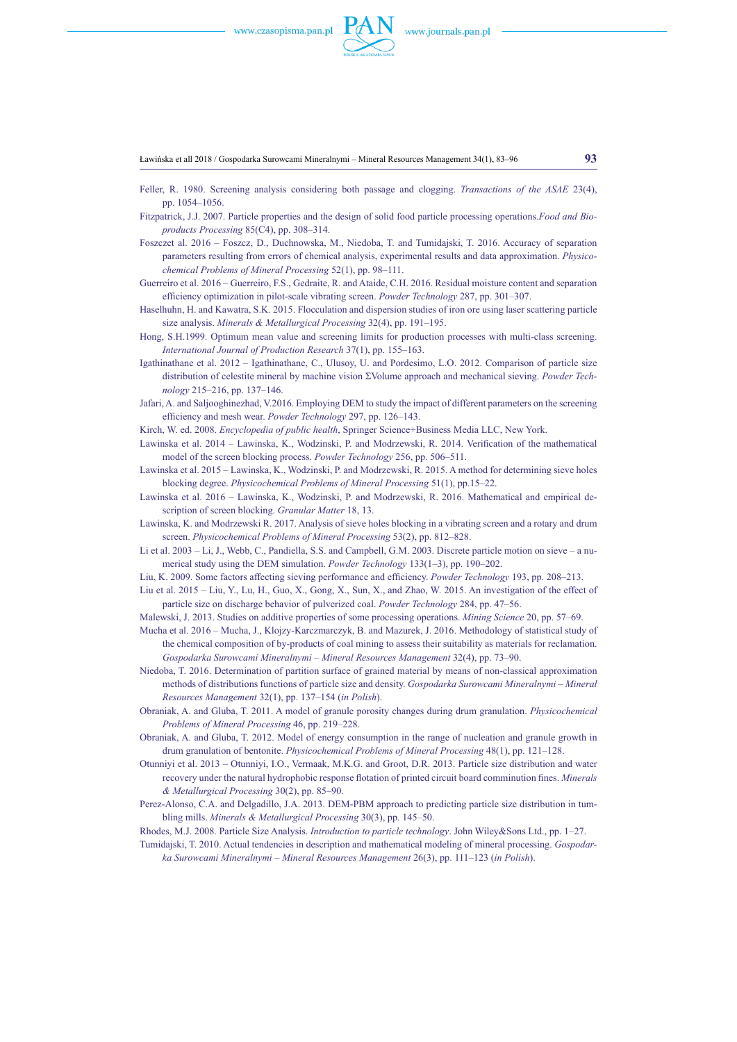

Ławińska et all 2018 / Gospodarka Surowcami Mineralnymi – Mineral Resources Management 34(1), 83–96 **93**

- Feller, R. 1980. Screening analysis considering both passage and clogging. *Transactions of the ASAE* 23(4), pp. 1054–1056.
- Fitzpatrick, J.J. 2007. Particle properties and the design of solid food particle processing operations.*Food and Bioproducts Processing* 85(C4), pp. 308–314.
- Foszczet al. 2016 Foszcz, D., Duchnowska, M., Niedoba, T. and Tumidajski, T. 2016. Accuracy of separation parameters resulting from errors of chemical analysis, experimental results and data approximation. *Physicochemical Problems of Mineral Processing* 52(1), pp. 98–111.
- Guerreiro et al. 2016 Guerreiro, F.S., Gedraite, R. and Ataide, C.H. 2016. Residual moisture content and separation efficiency optimization in pilot-scale vibrating screen. *Powder Technology* 287, pp. 301–307.
- Haselhuhn, H. and Kawatra, S.K. 2015. Flocculation and dispersion studies of iron ore using laser scattering particle size analysis. *Minerals & Metallurgical Processing* 32(4), pp. 191–195.
- Hong, S.H.1999. Optimum mean value and screening limits for production processes with multi-class screening. *International Journal of Production Research* 37(1), pp. 155–163.
- Igathinathane et al. 2012 Igathinathane, C., Ulusoy, U. and Pordesimo, L.O. 2012. Comparison of particle size distribution of celestite mineral by machine vision ΣVolume approach and mechanical sieving. *Powder Technology* [215–216](http://www.sciencedirect.com/science/journal/00325910/215/supp/C), pp. 137–146.
- Jafari, A. and Saljooghinezhad, V.2016. Employing DEM to study the impact of different parameters on the screening efficiency and mesh wear. *Powder Technology* [297,](http://www.sciencedirect.com/science/journal/00325910/297/supp/C) pp. 126–143.
- [Kirch](http://link.springer.com/search?facet-creator=%22Wilhelm+Kirch%22), W. ed. 2008. *Encyclopedia of public health*, Springer Science+Business Media LLC, New York.
- Lawinska et al. 2014 Lawinska, K., Wodzinski, P. and Modrzewski, R. 2014. Verification of the mathematical model of the screen blocking process. *Powder Technology* 256, pp. 506–511.
- Lawinska et al. 2015 Lawinska, K., Wodzinski, P. and Modrzewski, R. 2015. A method for determining sieve holes blocking degree. *Physicochemical Problems of Mineral Processing* 51(1), pp.15–22.
- Lawinska et al. 2016 Lawinska, K., Wodzinski, P. and Modrzewski, R. 2016. Mathematical and empirical description of screen blocking. *Granular Matter* 18, 13.
- Lawinska, K. and Modrzewski R. 2017. Analysis of sieve holes blocking in a vibrating screen and a rotary and drum screen. *Physicochemical Problems of Mineral Processing* 53(2), pp. 812–828.
- Li et al. 2003 Li, J., Webb, C., Pandiella, S.S. and Campbell, G.M. 2003. Discrete particle motion on sieve a numerical study using the DEM simulation. *Powder Technology* [133\(1–3](http://www.sciencedirect.com/science/journal/00325910/133/1)), pp. 190–202.
- Liu, K. 2009. Some factors affecting sieving performance and efficiency. *Powder Technology* 193, pp. 208–213.
- Liu et al. 2015 Liu, Y., Lu, H., Guo, X., Gong, X., Sun, X., and Zhao, W. 2015. An investigation of the effect of particle size on discharge behavior of pulverized coal. *Powder Technology* [284](http://www.sciencedirect.com/science/journal/00325910/284/supp/C), pp. 47–56.
- Malewski, J. 2013. Studies on additive properties of some processing operations. *Mining Science* [20](http://yadda.icm.edu.pl/yadda/element/bwmeta1.element.baztech-199f255b-c3ce-4548-a7c0-3b8ebfd4cf4e), pp. 57–69.
- Mucha et al. 2016 Mucha, J., Klojzy-Karczmarczyk, B. and Mazurek, J. 2016. Methodology of statistical study of the chemical composition of by-products of coal mining to assess their suitability as materials for reclamation. *Gospodarka Surowcami Mineralnymi – Mineral Resources Management* 32(4), pp. 73–90.
- Niedoba, T. 2016. Determination of partition surface of grained material by means of non-classical approximation methods of distributions functions of particle size and density. *Gospodarka Surowcami Mineralnymi – Mineral Resources Management* 32(1), pp. 137–154 (*in Polish*).
- Obraniak, A. and Gluba, T. 2011. A model of granule porosity changes during drum granulation. *Physicochemical Problems of Mineral Processing* 46, pp. 219–228.
- Obraniak, A. and Gluba, T. 2012. Model of energy consumption in the range of nucleation and granule growth in drum granulation of bentonite. *Physicochemical Problems of Mineral Processing* 48(1), pp. 121–128.
- Otunniyi et al. 2013 Otunniyi, I.O., Vermaak, M.K.G. and Groot, D.R. 2013. Particle size distribution and water recovery under the natural hydrophobic response flotation of printed circuit board comminution fines. *Minerals & Metallurgical Processing* 30(2), pp. 85–90.
- Perez-Alonso, C.A. and Delgadillo, J.A. 2013. DEM-PBM approach to predicting particle size distribution in tumbling mills. *Minerals & Metallurgical Processing* 30(3), pp. 145–50.

Rhodes, M.J. 2008. Particle Size Analysis. *Introduction to particle technology*. John Wiley&Sons Ltd., pp. 1–27.

Tumidajski, T. 2010. Actual tendencies in description and mathematical modeling of mineral processing. *Gospodarka Surowcami Mineralnymi – Mineral Resources Management* 26(3), pp. 111–123 (*in Polish*).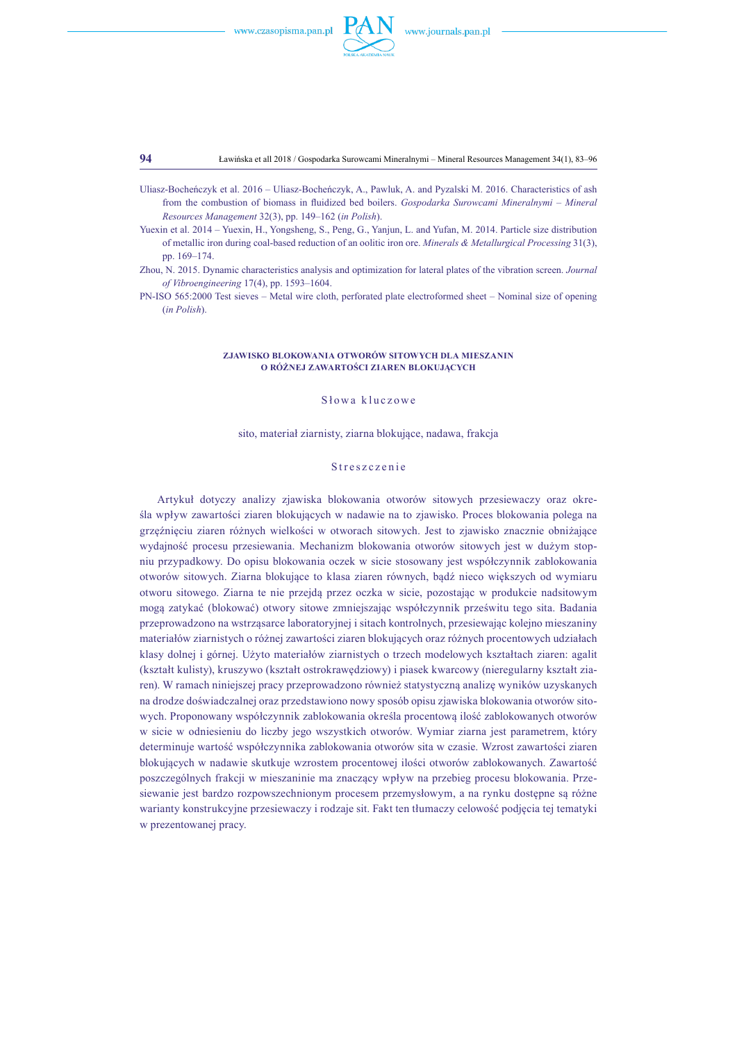

**94** Ławińska et all 2018 / Gospodarka Surowcami Mineralnymi – Mineral Resources Management 34(1), 83–96

- Uliasz-Bocheńczyk et al. 2016 Uliasz-Bocheńczyk, A., Pawluk, A. and Pyzalski M. 2016. Characteristics of ash from the combustion of biomass in fluidized bed boilers. *Gospodarka Surowcami Mineralnymi – Mineral Resources Management* 32(3), pp. 149–162 (*in Polish*).
- Yuexin et al. 2014 Yuexin, H., Yongsheng, S., Peng, G., Yanjun, L. and Yufan, M. 2014. Particle size distribution of metallic iron during coal-based reduction of an oolitic iron ore. *Minerals & Metallurgical Processing* 31(3), pp. 169–174.
- Zhou, N. 2015. Dynamic characteristics analysis and optimization for lateral plates of the vibration screen. *Journal of Vibroengineering* 17(4), pp. 1593–1604.

PN-ISO 565:2000 Test sieves – Metal wire cloth, perforated plate electroformed sheet – Nominal size of opening (*in Polish*).

#### **ZJAWISKO BLOKOWANIA OTWORÓW SITOWYCH DLA MIESZANIN O RÓŻNEJ ZAWARTOŚCI ZIAREN BLOKUJĄCYCH**

#### S łowa kluczowe

sito, materiał ziarnisty, ziarna blokujące, nadawa, frakcja

#### Streszczenie

Artykuł dotyczy analizy zjawiska blokowania otworów sitowych przesiewaczy oraz określa wpływ zawartości ziaren blokujących w nadawie na to zjawisko. Proces blokowania polega na grzęźnięciu ziaren różnych wielkości w otworach sitowych. Jest to zjawisko znacznie obniżające wydajność procesu przesiewania. Mechanizm blokowania otworów sitowych jest w dużym stopniu przypadkowy. Do opisu blokowania oczek w sicie stosowany jest współczynnik zablokowania otworów sitowych. Ziarna blokujące to klasa ziaren równych, bądź nieco większych od wymiaru otworu sitowego. Ziarna te nie przejdą przez oczka w sicie, pozostając w produkcie nadsitowym mogą zatykać (blokować) otwory sitowe zmniejszając współczynnik prześwitu tego sita. Badania przeprowadzono na wstrząsarce laboratoryjnej i sitach kontrolnych, przesiewając kolejno mieszaniny materiałów ziarnistych o różnej zawartości ziaren blokujących oraz różnych procentowych udziałach klasy dolnej i górnej. Użyto materiałów ziarnistych o trzech modelowych kształtach ziaren: agalit (kształt kulisty), kruszywo (kształt ostrokrawędziowy) i piasek kwarcowy (nieregularny kształt ziaren). W ramach niniejszej pracy przeprowadzono również statystyczną analizę wyników uzyskanych na drodze doświadczalnej oraz przedstawiono nowy sposób opisu zjawiska blokowania otworów sitowych. Proponowany współczynnik zablokowania określa procentową ilość zablokowanych otworów w sicie w odniesieniu do liczby jego wszystkich otworów. Wymiar ziarna jest parametrem, który determinuje wartość współczynnika zablokowania otworów sita w czasie. Wzrost zawartości ziaren blokujących w nadawie skutkuje wzrostem procentowej ilości otworów zablokowanych. Zawartość poszczególnych frakcji w mieszaninie ma znaczący wpływ na przebieg procesu blokowania. Przesiewanie jest bardzo rozpowszechnionym procesem przemysłowym, a na rynku dostępne są różne warianty konstrukcyjne przesiewaczy i rodzaje sit. Fakt ten tłumaczy celowość podjęcia tej tematyki w prezentowanej pracy.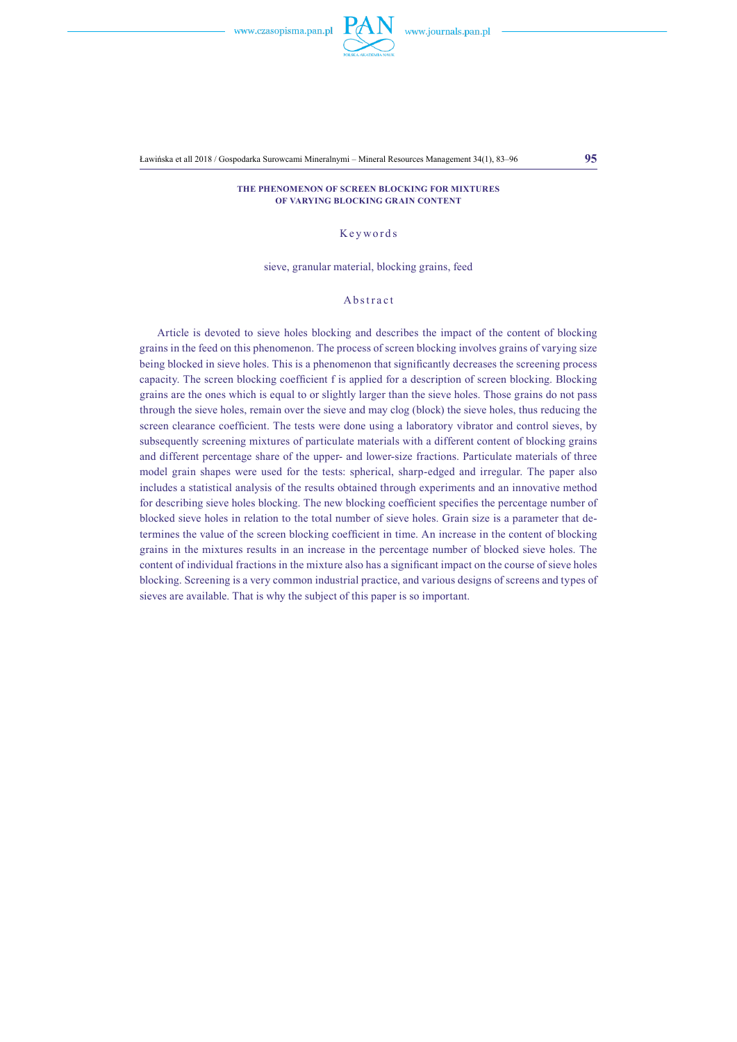Ławińska et all 2018 / Gospodarka Surowcami Mineralnymi – Mineral Resources Management 34(1), 83–96 **95**

#### **The phenomenon of screen blocking for mixtures of varying blocking grain content**

## Keywords

#### sieve, granular material, blocking grains, feed

#### Abstract

Article is devoted to sieve holes blocking and describes the impact of the content of blocking grains in the feed on this phenomenon. The process of screen blocking involves grains of varying size being blocked in sieve holes. This is a phenomenon that significantly decreases the screening process capacity. The screen blocking coefficient f is applied for a description of screen blocking. Blocking grains are the ones which is equal to or slightly larger than the sieve holes. Those grains do not pass through the sieve holes, remain over the sieve and may clog (block) the sieve holes, thus reducing the screen clearance coefficient. The tests were done using a laboratory vibrator and control sieves, by subsequently screening mixtures of particulate materials with a different content of blocking grains and different percentage share of the upper- and lower-size fractions. Particulate materials of three model grain shapes were used for the tests: spherical, sharp-edged and irregular. The paper also includes a statistical analysis of the results obtained through experiments and an innovative method for describing sieve holes blocking. The new blocking coefficient specifies the percentage number of blocked sieve holes in relation to the total number of sieve holes. Grain size is a parameter that determines the value of the screen blocking coefficient in time. An increase in the content of blocking grains in the mixtures results in an increase in the percentage number of blocked sieve holes. The content of individual fractions in the mixture also has a significant impact on the course of sieve holes blocking. Screening is a very common industrial practice, and various designs of screens and types of sieves are available. That is why the subject of this paper is so important.